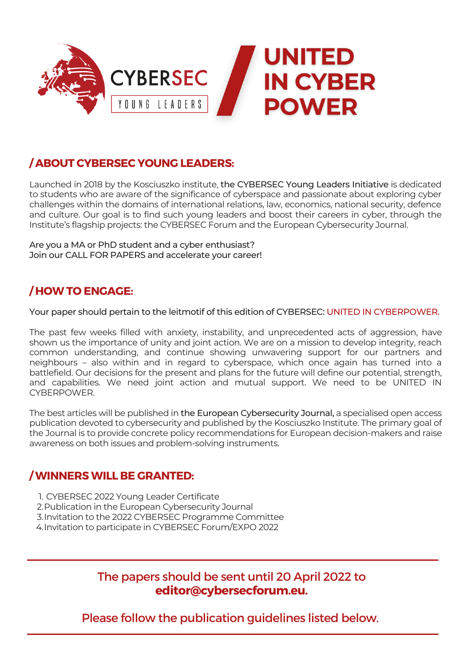

### **/ ABOUT CYBERSEC YOUNG LEADERS:**

Launched in 2018 by the Kosciuszko institute, the CYBERSEC Young Leaders Initiative is dedicated to students who are aware of the significance of cyberspace and passionate about exploring cyber challenges within the domains of international relations, law, economics, national security, defence and culture. Our goal is to find such young leaders and boost their careers in cyber, through the Institute's flagship projects: the CYBERSEC Forum and the European Cybersecurity Journal.

Are you a MA or PhD student and a cyber enthusiast? Join our CALL FOR PAPERS and accelerate your career!

#### **/ HOW TO ENGAGE:**

Your paper should pertain to the leitmotif of this edition of CYBERSEC: UNITED IN CYBERPOWER.

The past few weeks filled with anxiety, instability, and unprecedented acts of aggression, have shown us the importance of unity and joint action. We are on a mission to develop integrity, reach common understanding, and continue showing unwavering support for our partners and neighbours – also within and in regard to cyberspace, which once again has turned into a battlefield. Our decisions for the present and plans for the future will define our potential, strength, and capabilities. We need joint action and mutual support. We need to be UNITED IN CYBERPOWER.

The best articles will be published in the European Cybersecurity Journal, a specialised open access publication devoted to cybersecurity and published by the Kosciuszko Institute. The primary goal of the Journal is to provide concrete policy recommendations for European decision-makers and raise awareness on both issues and problem-solving instruments.

#### **/ WINNERS WILL BE GRANTED:**

- CYBERSEC 2022 Young Leader Certificate 1.
- 2. Publication in the European Cybersecurity Journal
- Invitation to the 2022 CYBERSEC Programme Committee 3.
- 4. Invitation to participate in CYBERSEC Forum/EXPO 2022

The papers should be sent until 20 April 2022 to **[editor@cybersecforum.eu.](mailto:editor@cybersecforum.eu)**

Please follow the publication guidelines listed below.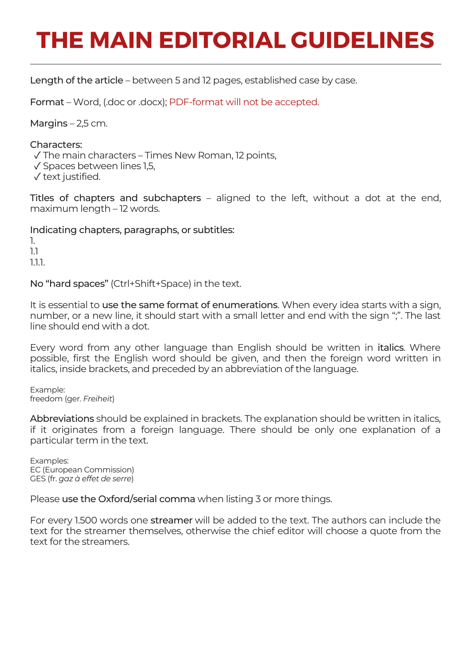## **THE MAIN EDITORIAL GUIDELINES**

Length of the article – between 5 and 12 pages, established case by case.

Format – Word, (.doc or .docx); PDF-format will not be accepted.

Margins  $-2,5$  cm.

Characters:

✓ The main characters – Times New Roman, 12 points,

✓ Spaces between lines 1,5,

✓ text justified.

Titles of chapters and subchapters – aligned to the left, without a dot at the end, maximum length – 12 words.

Indicating chapters, paragraphs, or subtitles:

1. 1.1 1.1.1.

No "hard spaces" (Ctrl+Shift+Space) in the text.

It is essential to use the same format of enumerations. When every idea starts with a sign, number, or a new line, it should start with a small letter and end with the sign ";". The last line should end with a dot.

Every word from any other language than English should be written in italics. Where possible, first the English word should be given, and then the foreign word written in italics, inside brackets, and preceded by an abbreviation of the language.

Example: freedom (ger. *Freiheit*)

Abbreviations should be explained in brackets. The explanation should be written in italics, if it originates from a foreign language. There should be only one explanation of a particular term in the text.

Examples: EC (European Commission) GES (fr. *gaz à effet de serre*)

Please use the Oxford/serial comma when listing 3 or more things.

For every 1.500 words one streamer will be added to the text. The authors can include the text for the streamer themselves, otherwise the chief editor will choose a quote from the text for the streamers.